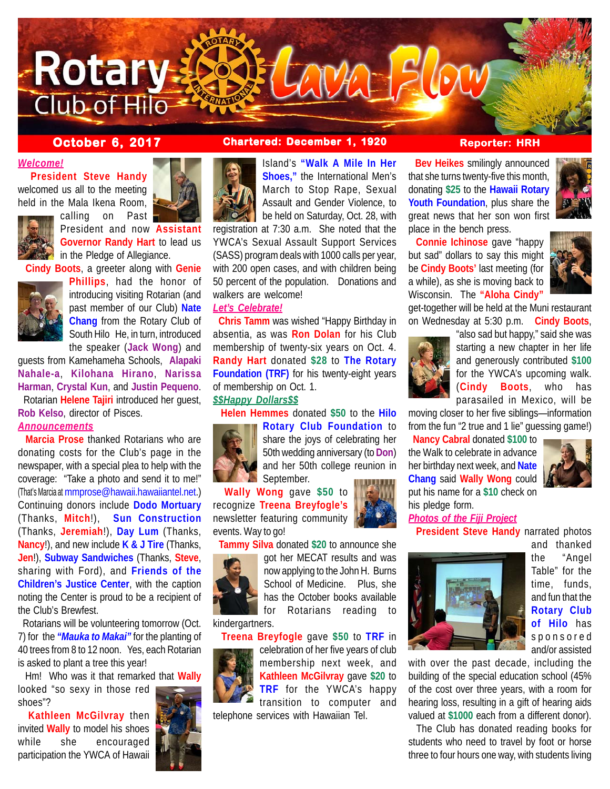

calling on Past

# *Welcome!*

 **President Steve Handy** welcomed us all to the meeting held in the Mala Ikena Room,



President and now **Assistant Governor Randy Hart** to lead us in the Pledge of Allegiance.

 **Cindy Boots**, a greeter along with **Genie**



**Phillips**, had the honor of introducing visiting Rotarian (and past member of our Club) **Nate Chang** from the Rotary Club of South Hilo He, in turn, introduced the speaker (**Jack Wong**) and

guests from Kamehameha Schools, **Alapaki Nahale-a**, **Kilohana Hirano**, **Narissa Harman**, **Crystal Kun**, and **Justin Pequeno**.

 Rotarian **Helene Tajiri** introduced her guest, **Rob Kelso**, director of Pisces.

# *Announcements*

 **Marcia Prose** thanked Rotarians who are donating costs for the Club's page in the newspaper, with a special plea to help with the coverage: "Take a photo and send it to me!" (That's Marcia at mmprose@hawaii.hawaiiantel.net.) Continuing donors include **Dodo Mortuary** (Thanks, **Mitch**!), **Sun Construction** (Thanks, **Jeremiah**!), **Day Lum** (Thanks, **Nancy**!), and new include **K & J Tire** (Thanks, **Jen**!), **Subway Sandwiches** (Thanks, **Steve**, sharing with Ford), and **Friends of the Children's Justice Center**, with the caption noting the Center is proud to be a recipient of the Club's Brewfest.

 Rotarians will be volunteering tomorrow (Oct. 7) for the *"Mauka to Makai"* for the planting of 40 trees from 8 to 12 noon. Yes, each Rotarian is asked to plant a tree this year!

 Hm! Who was it that remarked that **Wally** looked "so sexy in those red shoes"?

 **Kathleen McGilvray** then invited **Wally** to model his shoes while she encouraged participation the YWCA of Hawaii



# **October 6, 2017 Chartered: December 1, 1920 Reporter: HRH**

Island's **"Walk A Mile In Her Shoes,"** the International Men's March to Stop Rape, Sexual Assault and Gender Violence, to be held on Saturday, Oct. 28, with

registration at 7:30 a.m. She noted that the YWCA's Sexual Assault Support Services (SASS) program deals with 1000 calls per year, with 200 open cases, and with children being 50 percent of the population. Donations and walkers are welcome!

### *Let's Celebrate!*

 **Chris Tamm** was wished "Happy Birthday in absentia, as was **Ron Dolan** for his Club membership of twenty-six years on Oct. 4. **Randy Hart** donated **\$28** to **The Rotary Foundation (TRF)** for his twenty-eight years of membership on Oct. 1.

### *\$\$Happy Dollars\$\$*

**Helen Hemmes** donated **\$50** to the **Hilo**



**Rotary Club Foundation** to share the joys of celebrating her 50th wedding anniversary (to **Don**) and her 50th college reunion in September.

 **Wally Wong** gave **\$50** to recognize **Treena Breyfogle's** newsletter featuring community events. Way to go!

**Tammy Silva** donated **\$20** to announce she

now applying to the John H. Burns School of Medicine. Plus, she has the October books available for Rotarians reading to

kindergartners.

**Treena Breyfogle** gave **\$50** to **TRF** in



celebration of her five years of club membership next week, and **Kathleen McGilvray** gave **\$20** to **TRF** for the YWCA's happy transition to computer and telephone services with Hawaiian Tel.

 **Bev Heikes** smilingly announced that she turns twenty-five this month, donating **\$25** to the **Hawaii Rotary Youth Foundation**, plus share the great news that her son won first place in the bench press.

 **Connie Ichinose** gave "happy but sad" dollars to say this might be **Cindy Boots'** last meeting (for a while), as she is moving back to Wisconsin. The **"Aloha Cindy"**



get-together will be held at the Muni restaurant on Wednesday at 5:30 p.m. **Cindy Boots**,



"also sad but happy," said she was starting a new chapter in her life and generously contributed **\$100** for the YWCA's upcoming walk. (**Cindy Boots**, who has parasailed in Mexico, will be

moving closer to her five siblings—information from the fun "2 true and 1 lie" guessing game!)

 **Nancy Cabral** donated **\$100** to the Walk to celebrate in advance her birthday next week, and **Nate Chang** said **Wally Wong** could put his name for a **\$10** check on his pledge form.





**President Steve Handy** narrated photos



*Photos of the Fiji Project*

and thanked the "Angel Table" for the time, funds, and fun that the **Rotary Club of Hilo** has sponsored and/or assisted

with over the past decade, including the building of the special education school (45% of the cost over three years, with a room for hearing loss, resulting in a gift of hearing aids valued at **\$1000** each from a different donor).

 The Club has donated reading books for students who need to travel by foot or horse three to four hours one way, with students living

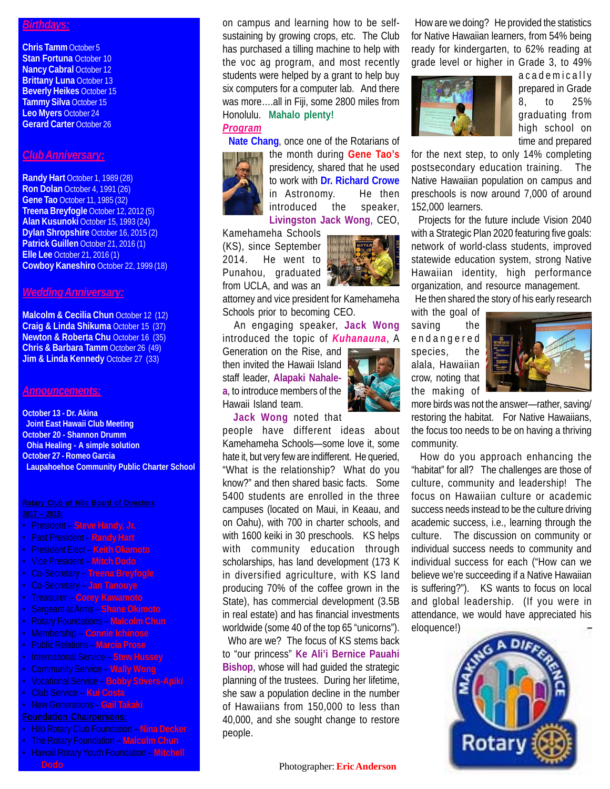## *Birthdays:*

**Chris Tamm** October 5 **Stan Fortuna** October 10 **Nancy Cabral October 12 Brittany Luna** October 13 **Beverly Heikes** October 15 **Tammy Silva** October 15 **Leo Myers** October 24 **Gerard Carter** October 26

### *Club Anniversary:*

**Randy Hart** October 1, 1989 (28) **Ron Dolan** October 4, 1991 (26) **Gene Tao** October 11, 1985 (32) **Treena Breyfogle** October 12, 2012 (5) **Alan Kusunoki** October 15, 1993 (24) **Dylan Shropshire** October 16, 2015 (2) **Patrick Guillen** October 21, 2016 (1) **Elle Lee** October 21, 2016 (1) **Cowboy Kaneshiro** October 22, 1999 (18)

#### *Wedding Anniversary:*

**Malcolm & Cecilia Chun October 12 (12) Craig & Linda Shikuma** October 15 (37) **Newton & Roberta Chu** October 16 (35) **Chris & Barbara Tamm** October 26 (49) **Jim & Linda Kennedy October 27 (33)** 

#### *Announcements:*

**October 13 - Dr. Akina Joint East Hawaii Club Meeting October 20 - Shannon Drumm Ohia Healing - A simple solution October 27 - Romeo Garcia Laupahoehoe Community Public Charter School**

- President **Steve Handy, Jr.**
- Past President **Randy Hart**
- President Elect **Keith Okamoto**
- Vice President **Mitch Dodo**
- Co-Secretary **Treena Breyfogle**
- Co-Secretary **Jan Tanouye**
- Treasurer **Corey Kawamoto**
- Sergeant at Arms **Shane Okimoto**
- Rotary Foundations **Malcolm Chun**
- Membership **Connie Ichinose**
- Public Relations **Marcia Prose**
- International Service **Stew Hussey**
- Community Service **Wally Wong**
- Vocational Service **Bobby Stivers-Apiki**
- Club Service **Kui Costa**
- New Generations **Gail Takaki**

- Hilo Rotary Club Foundation **Nina Decker**
- The Rotary Foundation **Malcolm Chun**
- Hawaii Rotary Youth Foundation **Mitchell**

on campus and learning how to be selfsustaining by growing crops, etc. The Club has purchased a tilling machine to help with the voc ag program, and most recently students were helped by a grant to help buy six computers for a computer lab. And there was more….all in Fiji, some 2800 miles from Honolulu. **Mahalo plenty!**

# *Program*

**Nate Chang**, once one of the Rotarians of



the month during **Gene Tao's** presidency, shared that he used to work with **Dr. Richard Crowe** in Astronomy. He then introduced the speaker, **Livingston Jack Wong**, CEO,

Kamehameha Schools (KS), since September 2014. He went to Punahou, graduated from UCLA, and was an



attorney and vice president for Kamehameha Schools prior to becoming CEO.

 An engaging speaker, **Jack Wong** introduced the topic of *Kuhanauna*, A

Generation on the Rise, and then invited the Hawaii Island staff leader, **Alapaki Nahalea**, to introduce members of the Hawaii Island team.



**Jack Wong** noted that

people have different ideas about Kamehameha Schools—some love it, some hate it, but very few are indifferent. He queried, "What is the relationship? What do you know?" and then shared basic facts. Some 5400 students are enrolled in the three campuses (located on Maui, in Keaau, and on Oahu), with 700 in charter schools, and with 1600 keiki in 30 preschools. KS helps with community education through scholarships, has land development (173 K in diversified agriculture, with KS land producing 70% of the coffee grown in the State), has commercial development (3.5B in real estate) and has financial investments worldwide (some 40 of the top 65 "unicorns").

 Who are we? The focus of KS stems back to "our princess" **Ke Ali'i Bernice Pauahi Bishop**, whose will had guided the strategic planning of the trustees. During her lifetime, she saw a population decline in the number of Hawaiians from 150,000 to less than 40,000, and she sought change to restore people.

**Dodo** Photographer: **Eric Anderson**

 How are we doing? He provided the statistics for Native Hawaiian learners, from 54% being ready for kindergarten, to 62% reading at grade level or higher in Grade 3, to 49%



academically prepared in Grade 8, to 25% graduating from high school on time and prepared

for the next step, to only 14% completing postsecondary education training. The Native Hawaiian population on campus and preschools is now around 7,000 of around 152,000 learners.

 Projects for the future include Vision 2040 with a Strategic Plan 2020 featuring five goals: network of world-class students, improved statewide education system, strong Native Hawaiian identity, high performance organization, and resource management.

He then shared the story of his early research

with the goal of saving the endangered species, the alala, Hawaiian crow, noting that the making of



more birds was not the answer—rather, saving/ restoring the habitat. For Native Hawaiians, the focus too needs to be on having a thriving community.

 How do you approach enhancing the "habitat" for all? The challenges are those of culture, community and leadership! The focus on Hawaiian culture or academic success needs instead to be the culture driving academic success, i.e., learning through the culture. The discussion on community or individual success needs to community and individual success for each ("How can we believe we're succeeding if a Native Hawaiian is suffering?"). KS wants to focus on local and global leadership. (If you were in attendance, we would have appreciated his eloquence!)